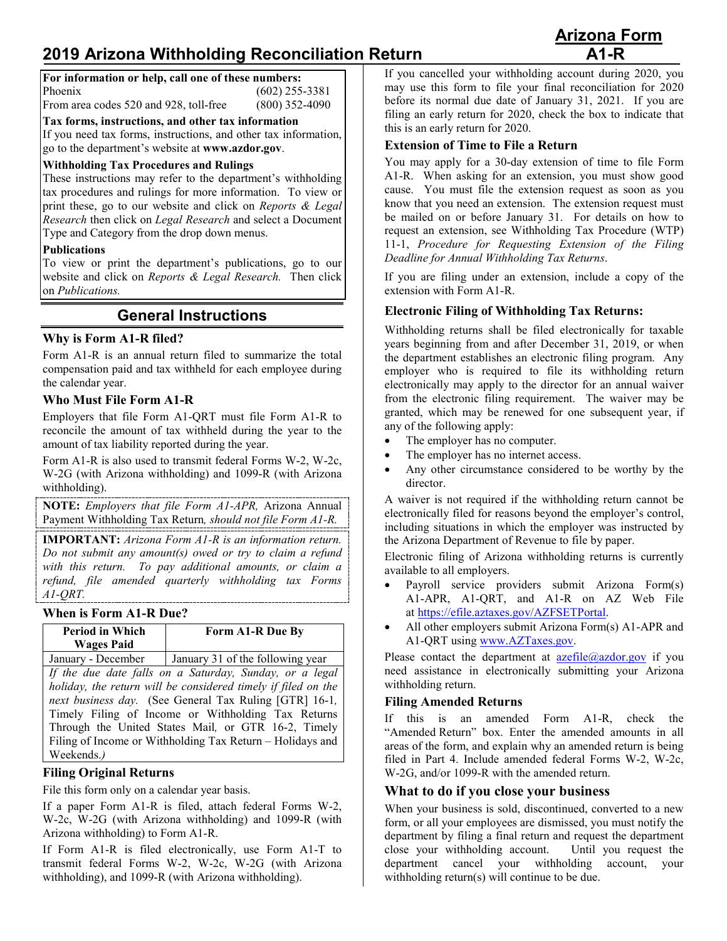# **2019 Arizona Withholding Reconciliation Return**

| <b>Arizona Form</b> |  |
|---------------------|--|
| $A1-R$              |  |

| For information or help, call one of these numbers: |                  |
|-----------------------------------------------------|------------------|
| Phoenix                                             | $(602)$ 255-3381 |
| From area codes 520 and 928, toll-free              | $(800)$ 352-4090 |

**Tax forms, instructions, and other tax information**

If you need tax forms, instructions, and other tax information, go to the department's website at **www.azdor.gov**.

#### **Withholding Tax Procedures and Rulings**

These instructions may refer to the department's withholding tax procedures and rulings for more information. To view or print these, go to our website and click on *Reports & Legal Research* then click on *Legal Research* and select a Document Type and Category from the drop down menus.

#### **Publications**

To view or print the department's publications, go to our website and click on *Reports & Legal Research.* Then click on *Publications.*

## **General Instructions**

#### **Why is Form A1-R filed?**

Form A1-R is an annual return filed to summarize the total compensation paid and tax withheld for each employee during the calendar year.

#### **Who Must File Form A1-R**

Employers that file Form A1-QRT must file Form A1-R to reconcile the amount of tax withheld during the year to the amount of tax liability reported during the year.

Form A1-R is also used to transmit federal Forms W-2, W-2c, W-2G (with Arizona withholding) and 1099-R (with Arizona withholding).

**NOTE:** *Employers that file Form A1-APR,* Arizona Annual Payment Withholding Tax Return*, should not file Form A1-R.*

**IMPORTANT:** *Arizona Form A1-R is an information return. Do not submit any amount(s) owed or try to claim a refund with this return. To pay additional amounts, or claim a refund, file amended quarterly withholding tax Forms A1-QRT.*

#### **When is Form A1-R Due?**

| <b>Period in Which</b><br><b>Wages Paid</b> | Form A1-R Due By                                       |
|---------------------------------------------|--------------------------------------------------------|
| January - December                          | January 31 of the following year                       |
|                                             | If the due date falls on a Saturday, Sunday or a legal |

*If the due date falls on a Saturday, Sunday, or a legal holiday, the return will be considered timely if filed on the next business day.* (See General Tax Ruling [GTR] 16-1*,*  Timely Filing of Income or Withholding Tax Returns Through the United States Mail*,* or GTR 16-2, Timely Filing of Income or Withholding Tax Return – Holidays and Weekends.*)*

## **Filing Original Returns**

File this form only on a calendar year basis.

If a paper Form A1-R is filed, attach federal Forms W-2, W-2c, W-2G (with Arizona withholding) and 1099-R (with Arizona withholding) to Form A1-R.

If Form A1-R is filed electronically, use Form A1-T to transmit federal Forms W-2, W-2c, W-2G (with Arizona withholding), and 1099-R (with Arizona withholding).

If you cancelled your withholding account during 2020, you may use this form to file your final reconciliation for 2020 before its normal due date of January 31, 2021. If you are filing an early return for 2020, check the box to indicate that this is an early return for 2020.

### **Extension of Time to File a Return**

You may apply for a 30-day extension of time to file Form A1-R. When asking for an extension, you must show good cause. You must file the extension request as soon as you know that you need an extension. The extension request must be mailed on or before January 31. For details on how to request an extension, see Withholding Tax Procedure (WTP) 11-1, *Procedure for Requesting Extension of the Filing Deadline for Annual Withholding Tax Returns*.

If you are filing under an extension, include a copy of the extension with Form A1-R.

## **Electronic Filing of Withholding Tax Returns:**

Withholding returns shall be filed electronically for taxable years beginning from and after December 31, 2019, or when the department establishes an electronic filing program. Any employer who is required to file its withholding return electronically may apply to the director for an annual waiver from the electronic filing requirement. The waiver may be granted, which may be renewed for one subsequent year, if any of the following apply:

- The employer has no computer.
- The employer has no internet access.
- Any other circumstance considered to be worthy by the director.

A waiver is not required if the withholding return cannot be electronically filed for reasons beyond the employer's control, including situations in which the employer was instructed by the Arizona Department of Revenue to file by paper.

Electronic filing of Arizona withholding returns is currently available to all employers.

- Payroll service providers submit Arizona Form(s) A1-APR, A1-QRT, and A1-R on AZ Web File at [https://efile.aztaxes.gov/AZFSETPortal.](https://efile.aztaxes.gov/AZFSETPortal)
- All other employers submit Arizona Form(s) A1-APR and A1-QRT using [www.AZTaxes.gov.](http://www.aztaxes.gov/)

Please contact the department at  $a$ zefile@azdor.gov if you need assistance in electronically submitting your Arizona withholding return.

## **Filing Amended Returns**

If this is an amended Form A1-R, check the "Amended Return" box. Enter the amended amounts in all areas of the form, and explain why an amended return is being filed in Part 4. Include amended federal Forms W-2, W-2c, W-2G, and/or 1099-R with the amended return.

## **What to do if you close your business**

When your business is sold, discontinued, converted to a new form, or all your employees are dismissed, you must notify the department by filing a final return and request the department close your withholding account. Until you request the department cancel your withholding account, your withholding return(s) will continue to be due.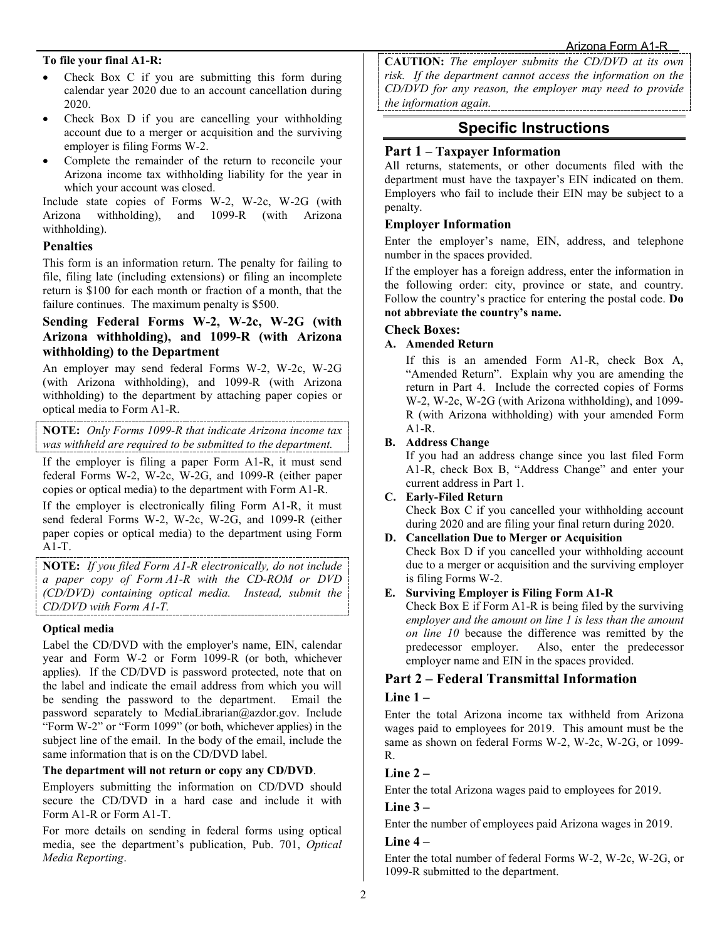#### **To file your final A1-R:**

- Check Box C if you are submitting this form during calendar year 2020 due to an account cancellation during 2020.
- Check Box D if you are cancelling your withholding account due to a merger or acquisition and the surviving employer is filing Forms W-2.
- Complete the remainder of the return to reconcile your Arizona income tax withholding liability for the year in which your account was closed.

Include state copies of Forms W-2, W-2c, W-2G (with Arizona withholding), and 1099-R (with Arizona withholding).

#### **Penalties**

This form is an information return. The penalty for failing to file, filing late (including extensions) or filing an incomplete return is \$100 for each month or fraction of a month, that the failure continues. The maximum penalty is \$500.

## **Sending Federal Forms W-2, W-2c, W-2G (with Arizona withholding), and 1099-R (with Arizona withholding) to the Department**

An employer may send federal Forms W-2, W-2c, W-2G (with Arizona withholding), and 1099-R (with Arizona withholding) to the department by attaching paper copies or optical media to Form A1-R.

**NOTE:** *Only Forms 1099-R that indicate Arizona income tax was withheld are required to be submitted to the department.*

If the employer is filing a paper Form A1-R, it must send federal Forms W-2, W-2c, W-2G, and 1099-R (either paper copies or optical media) to the department with Form A1-R.

If the employer is electronically filing Form A1-R, it must send federal Forms W-2, W-2c, W-2G, and 1099-R (either paper copies or optical media) to the department using Form A1-T.

**NOTE:** *If you filed Form A1-R electronically, do not include a paper copy of Form A1-R with the CD-ROM or DVD (CD/DVD) containing optical media. Instead, submit the CD/DVD with Form A1-T.*

#### **Optical media**

Label the CD/DVD with the employer's name, EIN, calendar year and Form W-2 or Form 1099-R (or both, whichever applies). If the CD/DVD is password protected, note that on the label and indicate the email address from which you will be sending the password to the department. Email the password separately to MediaLibrarian@azdor.gov. Include "Form W-2" or "Form 1099" (or both, whichever applies) in the subject line of the email. In the body of the email, include the same information that is on the CD/DVD label.

#### **The department will not return or copy any CD/DVD**.

Employers submitting the information on CD/DVD should secure the CD/DVD in a hard case and include it with Form A1-R or Form A1-T.

For more details on sending in federal forms using optical media, see the department's publication, Pub. 701, *Optical Media Reporting*.

**CAUTION:** *The employer submits the CD/DVD at its own risk. If the department cannot access the information on the CD/DVD for any reason, the employer may need to provide the information again.* 

## **Specific Instructions**

### **Part 1 – Taxpayer Information**

All returns, statements, or other documents filed with the department must have the taxpayer's EIN indicated on them. Employers who fail to include their EIN may be subject to a penalty.

### **Employer Information**

Enter the employer's name, EIN, address, and telephone number in the spaces provided.

If the employer has a foreign address, enter the information in the following order: city, province or state, and country. Follow the country's practice for entering the postal code. **Do not abbreviate the country's name.**

#### **Check Boxes:**

#### **A. Amended Return**

If this is an amended Form A1-R, check Box A, "Amended Return". Explain why you are amending the return in Part 4. Include the corrected copies of Forms W-2, W-2c, W-2G (with Arizona withholding), and 1099- R (with Arizona withholding) with your amended Form A1-R.

#### **B. Address Change**

If you had an address change since you last filed Form A1-R, check Box B, "Address Change" and enter your current address in Part 1.

### **C. Early-Filed Return**

Check Box C if you cancelled your withholding account during 2020 and are filing your final return during 2020.

#### **D. Cancellation Due to Merger or Acquisition**

Check Box D if you cancelled your withholding account due to a merger or acquisition and the surviving employer is filing Forms W-2.

#### **E. Surviving Employer is Filing Form A1-R**

Check Box E if Form A1-R is being filed by the surviving *employer and the amount on line 1 is less than the amount on line 10* because the difference was remitted by the predecessor employer. Also, enter the predecessor Also, enter the predecessor employer name and EIN in the spaces provided.

## **Part 2 – Federal Transmittal Information**

## **Line 1 –**

Enter the total Arizona income tax withheld from Arizona wages paid to employees for 2019. This amount must be the same as shown on federal Forms W-2, W-2c, W-2G, or 1099- R.

## **Line 2 –**

Enter the total Arizona wages paid to employees for 2019.

#### **Line 3 –**

Enter the number of employees paid Arizona wages in 2019.

#### **Line 4 –**

Enter the total number of federal Forms W-2, W-2c, W-2G, or 1099-R submitted to the department.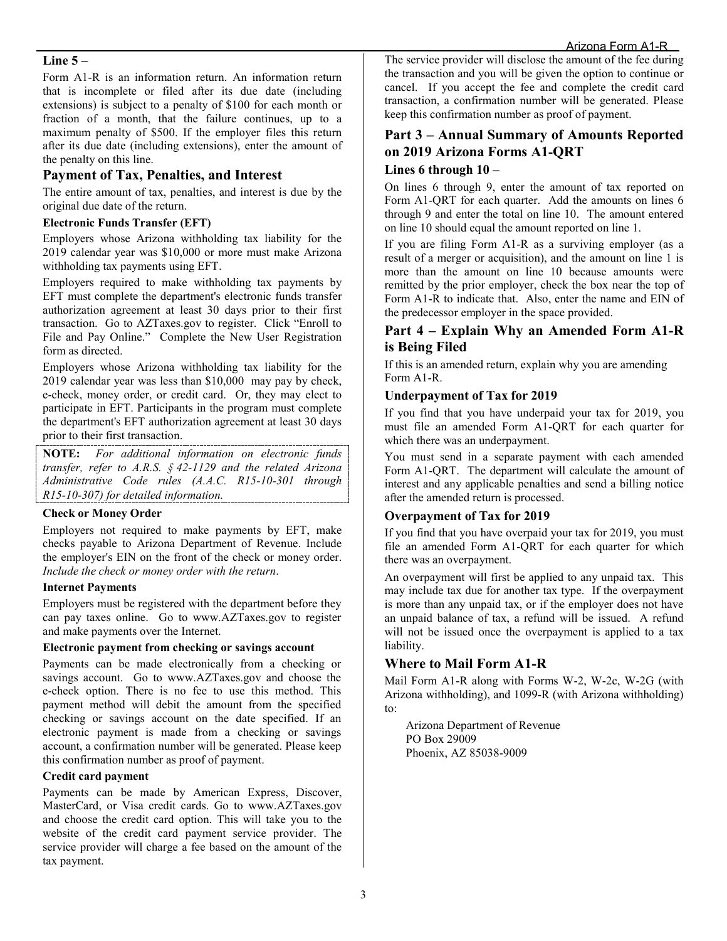#### **Line 5 –**

Form A1-R is an information return. An information return that is incomplete or filed after its due date (including extensions) is subject to a penalty of \$100 for each month or fraction of a month, that the failure continues, up to a maximum penalty of \$500. If the employer files this return after its due date (including extensions), enter the amount of the penalty on this line.

### **Payment of Tax, Penalties, and Interest**

The entire amount of tax, penalties, and interest is due by the original due date of the return.

#### **Electronic Funds Transfer (EFT)**

Employers whose Arizona withholding tax liability for the 2019 calendar year was \$10,000 or more must make Arizona withholding tax payments using EFT.

Employers required to make withholding tax payments by EFT must complete the department's electronic funds transfer authorization agreement at least 30 days prior to their first transaction. Go to AZTaxes.gov to register. Click "Enroll to File and Pay Online." Complete the New User Registration form as directed.

Employers whose Arizona withholding tax liability for the 2019 calendar year was less than \$10,000 may pay by check, e-check, money order, or credit card. Or, they may elect to participate in EFT. Participants in the program must complete the department's EFT authorization agreement at least 30 days prior to their first transaction.

**NOTE:** *For additional information on electronic funds transfer, refer to A.R.S. § 42-1129 and the related Arizona Administrative Code rules (A.A.C. R15-10-301 through R15-10-307) for detailed information.*

#### **Check or Money Order**

Employers not required to make payments by EFT, make checks payable to Arizona Department of Revenue. Include the employer's EIN on the front of the check or money order. *Include the check or money order with the return*.

#### **Internet Payments**

Employers must be registered with the department before they can pay taxes online. Go to [www.AZTaxes.gov](http://www.aztaxes.gov/) to register and make payments over the Internet.

#### **Electronic payment from checking or savings account**

Payments can be made electronically from a checking or savings account. Go to [www.AZTaxes.gov](http://www.aztaxes.gov/) and choose the e-check option. There is no fee to use this method. This payment method will debit the amount from the specified checking or savings account on the date specified. If an electronic payment is made from a checking or savings account, a confirmation number will be generated. Please keep this confirmation number as proof of payment.

#### **Credit card payment**

Payments can be made by American Express, Discover, MasterCard, or Visa credit cards. Go to [www.AZTaxes.gov](http://www.aztaxes.gov/) and choose the credit card option. This will take you to the website of the credit card payment service provider. The service provider will charge a fee based on the amount of the tax payment.

The service provider will disclose the amount of the fee during the transaction and you will be given the option to continue or cancel. If you accept the fee and complete the credit card transaction, a confirmation number will be generated. Please keep this confirmation number as proof of payment.

## **Part 3 – Annual Summary of Amounts Reported on 2019 Arizona Forms A1-QRT**

#### **Lines 6 through 10 –**

On lines 6 through 9, enter the amount of tax reported on Form A1-QRT for each quarter. Add the amounts on lines 6 through 9 and enter the total on line 10. The amount entered on line 10 should equal the amount reported on line 1.

If you are filing Form A1-R as a surviving employer (as a result of a merger or acquisition), and the amount on line 1 is more than the amount on line 10 because amounts were remitted by the prior employer, check the box near the top of Form A1-R to indicate that. Also, enter the name and EIN of the predecessor employer in the space provided.

## **Part 4 – Explain Why an Amended Form A1-R is Being Filed**

If this is an amended return, explain why you are amending Form A1-R.

#### **Underpayment of Tax for 2019**

If you find that you have underpaid your tax for 2019, you must file an amended Form A1-QRT for each quarter for which there was an underpayment.

You must send in a separate payment with each amended Form A1-QRT. The department will calculate the amount of interest and any applicable penalties and send a billing notice after the amended return is processed.

#### **Overpayment of Tax for 2019**

If you find that you have overpaid your tax for 2019, you must file an amended Form A1-QRT for each quarter for which there was an overpayment.

An overpayment will first be applied to any unpaid tax. This may include tax due for another tax type. If the overpayment is more than any unpaid tax, or if the employer does not have an unpaid balance of tax, a refund will be issued. A refund will not be issued once the overpayment is applied to a tax liability.

## **Where to Mail Form A1-R**

Mail Form A1-R along with Forms W-2, W-2c, W-2G (with Arizona withholding), and 1099-R (with Arizona withholding) to:

Arizona Department of Revenue PO Box 29009 Phoenix, AZ 85038-9009